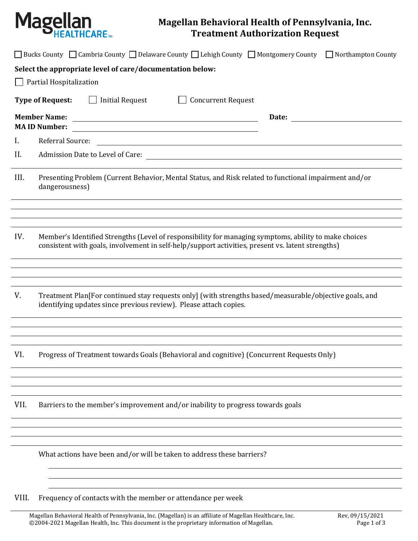

## **Magellan Behavioral Health of Pennsylvania, Inc. Treatment Authorization Request**

| □ Bucks County □ Cambria County □ Delaware County □ Lehigh County □ Montgomery County □ Northampton County                                                                                                                               |
|------------------------------------------------------------------------------------------------------------------------------------------------------------------------------------------------------------------------------------------|
| Select the appropriate level of care/documentation below:                                                                                                                                                                                |
| Partial Hospitalization                                                                                                                                                                                                                  |
| <b>Type of Request:</b><br><b>Initial Request</b><br><b>Concurrent Request</b><br>$\perp$                                                                                                                                                |
| <b>Member Name:</b><br>Date:<br><u> 1989 - Johann Stoff, deutscher Stoffen und der Stoffen und der Stoffen und der Stoffen und der Stoffen und der</u><br><b>MAID Number:</b><br><u> 1980 - Johann Barnett, fransk politik (f. 1980)</u> |
| Referral Source:<br>Ι.<br><u> 1980 - Johann Barn, mars ann an t-Amhain Aonaichte ann an t-Amhain Aonaichte ann an t-Amhain Aonaichte ann an</u>                                                                                          |
| II.                                                                                                                                                                                                                                      |
| III.<br>Presenting Problem (Current Behavior, Mental Status, and Risk related to functional impairment and/or<br>dangerousness)                                                                                                          |
|                                                                                                                                                                                                                                          |
| IV.<br>Member's Identified Strengths (Level of responsibility for managing symptoms, ability to make choices<br>consistent with goals, involvement in self-help/support activities, present vs. latent strengths)                        |
|                                                                                                                                                                                                                                          |
| V.<br>Treatment Plan [For continued stay requests only] (with strengths based/measurable/objective goals, and<br>identifying updates since previous review). Please attach copies.                                                       |
|                                                                                                                                                                                                                                          |
| VI.<br>Progress of Treatment towards Goals (Behavioral and cognitive) (Concurrent Requests Only)                                                                                                                                         |
|                                                                                                                                                                                                                                          |
| VII.<br>Barriers to the member's improvement and/or inability to progress towards goals                                                                                                                                                  |
|                                                                                                                                                                                                                                          |
| What actions have been and/or will be taken to address these barriers?                                                                                                                                                                   |
|                                                                                                                                                                                                                                          |
| VIII.<br>Frequency of contacts with the member or attendance per week                                                                                                                                                                    |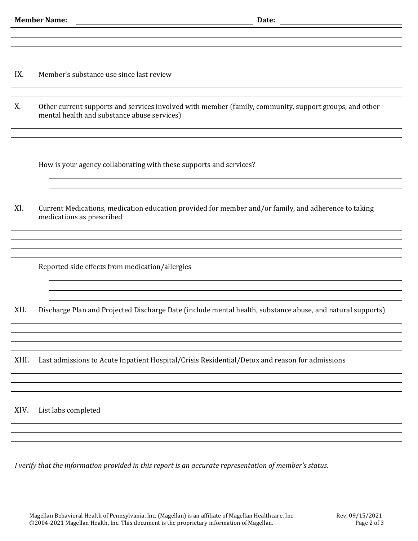IX. Member's substance use since last review

X. Other current supports and services involved with member (family, community, support groups, and other mental health and substance abuse services)

How is your agency collaborating with these supports and services?

XI. Current Medications, medication education provided for member and/or family, and adherence to taking medications as prescribed

Reported side effects from medication/allergies

XII. Discharge Plan and Projected Discharge Date (include mental health, substance abuse, and natural supports)

XIII. Last admissions to Acute Inpatient Hospital/Crisis Residential/Detox and reason for admissions

XIV. List labs completed

*I verify that the information provided in this report is an accurate representation of member's status.*